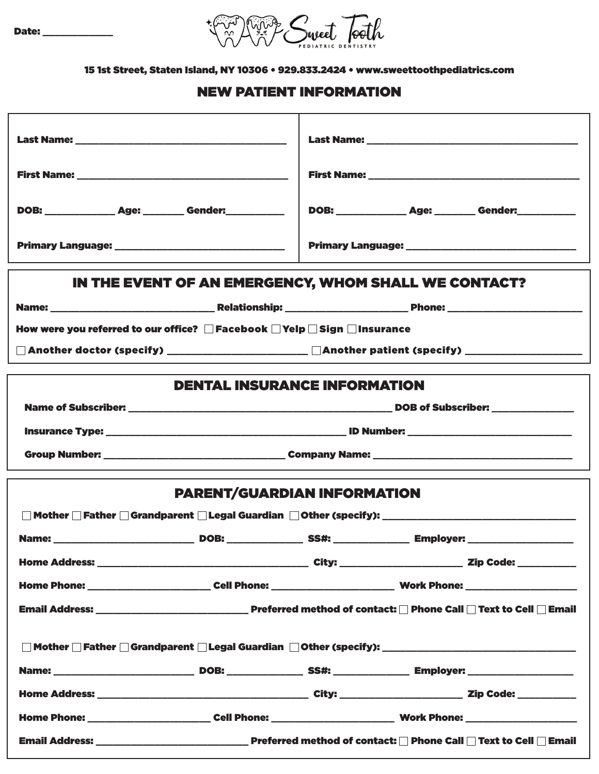

15 1st Street, Staten Island, NY 10306 • 929.833.2424 • www.sweettoothpediatrics.com

# NEW PATIENT INFORMATION

| DOB: _______________ Age: ________ Gender: ___________                                                         | DOB: _______________ Age: ________ Gender: ___________ |  |  |  |  |
|----------------------------------------------------------------------------------------------------------------|--------------------------------------------------------|--|--|--|--|
|                                                                                                                |                                                        |  |  |  |  |
| IN THE EVENT OF AN EMERGENCY, WHOM SHALL WE CONTACT?                                                           |                                                        |  |  |  |  |
|                                                                                                                |                                                        |  |  |  |  |
| How were you referred to our office? □ Facebook □ Yelp □ Sign □ Insurance                                      |                                                        |  |  |  |  |
| □ Another doctor (specify) ______________________ □Another patient (specify) ___________________               |                                                        |  |  |  |  |
|                                                                                                                | <b>DENTAL INSURANCE INFORMATION</b>                    |  |  |  |  |
|                                                                                                                |                                                        |  |  |  |  |
|                                                                                                                |                                                        |  |  |  |  |
|                                                                                                                |                                                        |  |  |  |  |
|                                                                                                                |                                                        |  |  |  |  |
| <b>PARENT/GUARDIAN INFORMATION</b>                                                                             |                                                        |  |  |  |  |
|                                                                                                                |                                                        |  |  |  |  |
|                                                                                                                |                                                        |  |  |  |  |
|                                                                                                                |                                                        |  |  |  |  |
| Home Phone: ___________________________Cell Phone: _____________________________ Work Phone: _________________ |                                                        |  |  |  |  |
|                                                                                                                |                                                        |  |  |  |  |
|                                                                                                                |                                                        |  |  |  |  |
|                                                                                                                |                                                        |  |  |  |  |
|                                                                                                                |                                                        |  |  |  |  |
|                                                                                                                |                                                        |  |  |  |  |
|                                                                                                                |                                                        |  |  |  |  |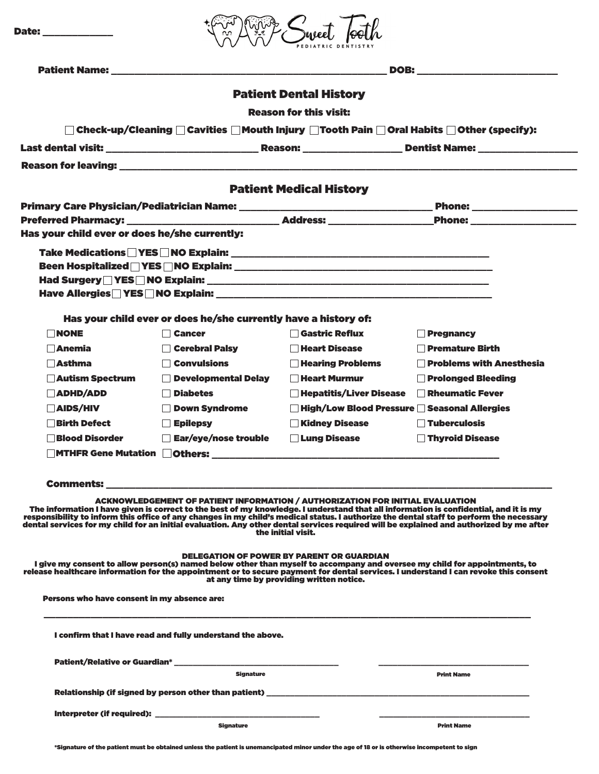|                                                                                                                                                                                                                                      |                                                                                                                                                                                                                                     |                                                                                                                                                                                                                                                                                                                                                                                                                         | <b>DOB:</b> the contract of the contract of the contract of the contract of the contract of the contract of the contract of the contract of the contract of the contract of the contract of the contract of the contract of the con                                                                                                                                                                                        |
|--------------------------------------------------------------------------------------------------------------------------------------------------------------------------------------------------------------------------------------|-------------------------------------------------------------------------------------------------------------------------------------------------------------------------------------------------------------------------------------|-------------------------------------------------------------------------------------------------------------------------------------------------------------------------------------------------------------------------------------------------------------------------------------------------------------------------------------------------------------------------------------------------------------------------|----------------------------------------------------------------------------------------------------------------------------------------------------------------------------------------------------------------------------------------------------------------------------------------------------------------------------------------------------------------------------------------------------------------------------|
|                                                                                                                                                                                                                                      |                                                                                                                                                                                                                                     |                                                                                                                                                                                                                                                                                                                                                                                                                         |                                                                                                                                                                                                                                                                                                                                                                                                                            |
|                                                                                                                                                                                                                                      |                                                                                                                                                                                                                                     | <b>Patient Dental History</b>                                                                                                                                                                                                                                                                                                                                                                                           |                                                                                                                                                                                                                                                                                                                                                                                                                            |
|                                                                                                                                                                                                                                      |                                                                                                                                                                                                                                     | <b>Reason for this visit:</b>                                                                                                                                                                                                                                                                                                                                                                                           |                                                                                                                                                                                                                                                                                                                                                                                                                            |
|                                                                                                                                                                                                                                      |                                                                                                                                                                                                                                     |                                                                                                                                                                                                                                                                                                                                                                                                                         | $\Box$ Check-up/Cleaning $\Box$ Cavities $\Box$ Mouth Injury $\Box$ Tooth Pain $\Box$ Oral Habits $\Box$ Other (specify):                                                                                                                                                                                                                                                                                                  |
|                                                                                                                                                                                                                                      |                                                                                                                                                                                                                                     |                                                                                                                                                                                                                                                                                                                                                                                                                         |                                                                                                                                                                                                                                                                                                                                                                                                                            |
| <b>Reason for leaving: with a state of the contract of the contract of the contract of the contract of the contract of the contract of the contract of the contract of the contract of the contract of the contract of the contr</b> |                                                                                                                                                                                                                                     |                                                                                                                                                                                                                                                                                                                                                                                                                         |                                                                                                                                                                                                                                                                                                                                                                                                                            |
|                                                                                                                                                                                                                                      |                                                                                                                                                                                                                                     | <b>Patient Medical History</b>                                                                                                                                                                                                                                                                                                                                                                                          |                                                                                                                                                                                                                                                                                                                                                                                                                            |
|                                                                                                                                                                                                                                      |                                                                                                                                                                                                                                     |                                                                                                                                                                                                                                                                                                                                                                                                                         |                                                                                                                                                                                                                                                                                                                                                                                                                            |
|                                                                                                                                                                                                                                      |                                                                                                                                                                                                                                     |                                                                                                                                                                                                                                                                                                                                                                                                                         | <b>Phone:</b> <u>________________</u>                                                                                                                                                                                                                                                                                                                                                                                      |
| Has your child ever or does he/she currently:                                                                                                                                                                                        |                                                                                                                                                                                                                                     |                                                                                                                                                                                                                                                                                                                                                                                                                         |                                                                                                                                                                                                                                                                                                                                                                                                                            |
|                                                                                                                                                                                                                                      |                                                                                                                                                                                                                                     |                                                                                                                                                                                                                                                                                                                                                                                                                         |                                                                                                                                                                                                                                                                                                                                                                                                                            |
|                                                                                                                                                                                                                                      |                                                                                                                                                                                                                                     |                                                                                                                                                                                                                                                                                                                                                                                                                         |                                                                                                                                                                                                                                                                                                                                                                                                                            |
|                                                                                                                                                                                                                                      |                                                                                                                                                                                                                                     |                                                                                                                                                                                                                                                                                                                                                                                                                         |                                                                                                                                                                                                                                                                                                                                                                                                                            |
|                                                                                                                                                                                                                                      |                                                                                                                                                                                                                                     |                                                                                                                                                                                                                                                                                                                                                                                                                         |                                                                                                                                                                                                                                                                                                                                                                                                                            |
|                                                                                                                                                                                                                                      | Has your child ever or does he/she currently have a history of:                                                                                                                                                                     |                                                                                                                                                                                                                                                                                                                                                                                                                         |                                                                                                                                                                                                                                                                                                                                                                                                                            |
| $\Box$ None                                                                                                                                                                                                                          | <b>□ Cancer</b>                                                                                                                                                                                                                     | Gastric Reflux                                                                                                                                                                                                                                                                                                                                                                                                          | <b>Pregnancy</b>                                                                                                                                                                                                                                                                                                                                                                                                           |
| $\Box$ Anemia                                                                                                                                                                                                                        | Cerebral Palsy                                                                                                                                                                                                                      | <b>Heart Disease</b>                                                                                                                                                                                                                                                                                                                                                                                                    | <b>Premature Birth</b>                                                                                                                                                                                                                                                                                                                                                                                                     |
| <b>Asthma</b>                                                                                                                                                                                                                        | <b>Convulsions</b>                                                                                                                                                                                                                  | <b>Hearing Problems</b>                                                                                                                                                                                                                                                                                                                                                                                                 | <b>Problems with Anesthesia</b>                                                                                                                                                                                                                                                                                                                                                                                            |
| Autism Spectrum                                                                                                                                                                                                                      | Developmental Delay                                                                                                                                                                                                                 | <b>Heart Murmur</b>                                                                                                                                                                                                                                                                                                                                                                                                     | <b>Prolonged Bleeding</b>                                                                                                                                                                                                                                                                                                                                                                                                  |
| $\Box$ ADHD/ADD                                                                                                                                                                                                                      | Diabetes                                                                                                                                                                                                                            | Hepatitis/Liver Disease                                                                                                                                                                                                                                                                                                                                                                                                 | Rheumatic Fever                                                                                                                                                                                                                                                                                                                                                                                                            |
| <b>AIDS/HIV</b><br><b>Birth Defect</b>                                                                                                                                                                                               | Down Syndrome<br>$\Box$ Epilepsy                                                                                                                                                                                                    | □ High/Low Blood Pressure ■ Seasonal Allergies<br>Kidney Disease                                                                                                                                                                                                                                                                                                                                                        | Tuberculosis                                                                                                                                                                                                                                                                                                                                                                                                               |
| <b>Blood Disorder</b>                                                                                                                                                                                                                | Ear/eye/nose trouble                                                                                                                                                                                                                | <b>Lung Disease</b>                                                                                                                                                                                                                                                                                                                                                                                                     | <b>Thyroid Disease</b>                                                                                                                                                                                                                                                                                                                                                                                                     |
| <b>MTHFR Gene Mutation Cothers:</b>                                                                                                                                                                                                  |                                                                                                                                                                                                                                     |                                                                                                                                                                                                                                                                                                                                                                                                                         |                                                                                                                                                                                                                                                                                                                                                                                                                            |
|                                                                                                                                                                                                                                      |                                                                                                                                                                                                                                     |                                                                                                                                                                                                                                                                                                                                                                                                                         |                                                                                                                                                                                                                                                                                                                                                                                                                            |
|                                                                                                                                                                                                                                      | <b>Comments:</b> with a state of the state of the state of the state of the state of the state of the state of the state of the state of the state of the state of the state of the state of the state of the state of the state of |                                                                                                                                                                                                                                                                                                                                                                                                                         |                                                                                                                                                                                                                                                                                                                                                                                                                            |
|                                                                                                                                                                                                                                      |                                                                                                                                                                                                                                     | <b>ACKNOWLEDGEMENT OF PATIENT INFORMATION / AUTHORIZATION FOR INITIAL EVALUATION</b><br>the initial visit.                                                                                                                                                                                                                                                                                                              | The information I have given is correct to the best of my knowledge. I understand that all information is confidential, and it is my<br>responsibility to inform this office of any changes in my child's medical status. I authorize the dental staff to perform the necessary<br>dental services for my child for an initial evaluation. Any other dental services required will be explained and authorized by me after |
|                                                                                                                                                                                                                                      |                                                                                                                                                                                                                                     | <b>DELEGATION OF POWER BY PARENT OR GUARDIAN</b><br>at any time by providing written notice.                                                                                                                                                                                                                                                                                                                            | I give my consent to allow person(s) named below other than myself to accompany and oversee my child for appointments, to<br>release healthcare information for the appointment or to secure payment for dental services. I understand I can revoke this consent                                                                                                                                                           |
|                                                                                                                                                                                                                                      |                                                                                                                                                                                                                                     |                                                                                                                                                                                                                                                                                                                                                                                                                         |                                                                                                                                                                                                                                                                                                                                                                                                                            |
| Persons who have consent in my absence are:                                                                                                                                                                                          |                                                                                                                                                                                                                                     |                                                                                                                                                                                                                                                                                                                                                                                                                         |                                                                                                                                                                                                                                                                                                                                                                                                                            |
|                                                                                                                                                                                                                                      | I confirm that I have read and fully understand the above.                                                                                                                                                                          |                                                                                                                                                                                                                                                                                                                                                                                                                         |                                                                                                                                                                                                                                                                                                                                                                                                                            |
|                                                                                                                                                                                                                                      |                                                                                                                                                                                                                                     | $\begin{tabular}{lcccccc} \multicolumn{2}{c }{\textbf{1} & \textbf{2} & \textbf{3} & \textbf{4} & \textbf{5} & \textbf{5} & \textbf{6} & \textbf{6} & \textbf{7} & \textbf{8} & \textbf{8} & \textbf{9} & \textbf{10} & \textbf{10} & \textbf{10} & \textbf{10} & \textbf{10} & \textbf{10} & \textbf{10} & \textbf{10} & \textbf{10} & \textbf{10} & \textbf{10} & \textbf{10} & \textbf{10} & \textbf{10} & \textbf{$ |                                                                                                                                                                                                                                                                                                                                                                                                                            |
|                                                                                                                                                                                                                                      | <b>Signature</b>                                                                                                                                                                                                                    |                                                                                                                                                                                                                                                                                                                                                                                                                         | <b>Print Name</b>                                                                                                                                                                                                                                                                                                                                                                                                          |
|                                                                                                                                                                                                                                      |                                                                                                                                                                                                                                     |                                                                                                                                                                                                                                                                                                                                                                                                                         |                                                                                                                                                                                                                                                                                                                                                                                                                            |
|                                                                                                                                                                                                                                      |                                                                                                                                                                                                                                     |                                                                                                                                                                                                                                                                                                                                                                                                                         |                                                                                                                                                                                                                                                                                                                                                                                                                            |

\*Signature of the patient must be obtained unless the patient is unemancipated minor under the age of 18 or is otherwise incompetent to sign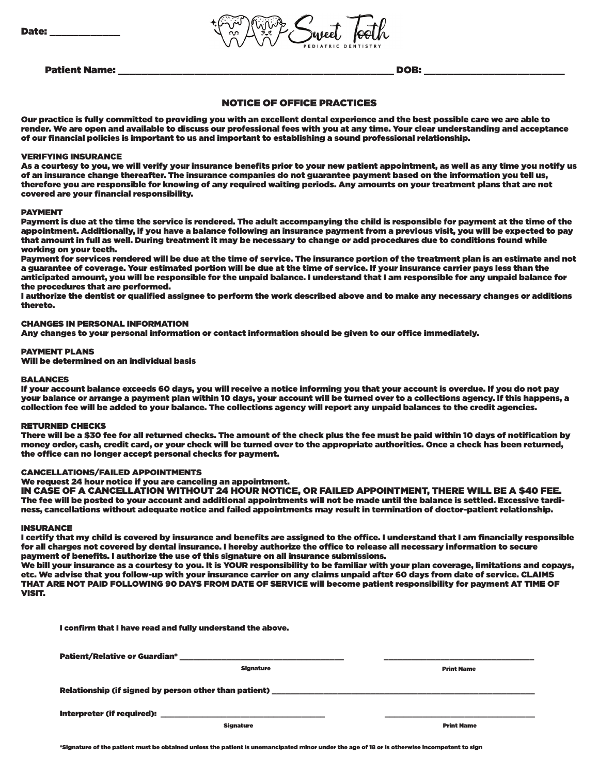

Patient Name: the contract of the contract of the contract of the contract of the contract of the contract of the contract of the contract of the contract of the contract of the contract of the contract of the contract of

## NOTICE OF OFFICE PRACTICES

Our practice is fully committed to providing you with an excellent dental experience and the best possible care we are able to render. We are open and available to discuss our professional fees with you at any time. Your clear understanding and acceptance of our financial policies is important to us and important to establishing a sound professional relationship.

### VERIFYING INSURANCE

As a courtesy to you, we will verify your insurance benefits prior to your new patient appointment, as well as any time you notify us of an insurance change thereafter. The insurance companies do not guarantee payment based on the information you tell us, therefore you are responsible for knowing of any required waiting periods. Any amounts on your treatment plans that are not covered are your financial responsibility.

#### PAYMENT

Payment is due at the time the service is rendered. The adult accompanying the child is responsible for payment at the time of the appointment. Additionally, if you have a balance following an insurance payment from a previous visit, you will be expected to pay that amount in full as well. During treatment it may be necessary to change or add procedures due to conditions found while working on your teeth.

Payment for services rendered will be due at the time of service. The insurance portion of the treatment plan is an estimate and not a guarantee of coverage. Your estimated portion will be due at the time of service. If your insurance carrier pays less than the anticipated amount, you will be responsible for the unpaid balance. I understand that I am responsible for any unpaid balance for the procedures that are performed.

I authorize the dentist or qualified assignee to perform the work described above and to make any necessary changes or additions thereto.

### CHANGES IN PERSONAL INFORMATION

Any changes to your personal information or contact information should be given to our office immediately.

### PAYMENT PLANS

Will be determined on an individual basis

#### **RALANCES**

If your account balance exceeds 60 days, you will receive a notice informing you that your account is overdue. If you do not pay your balance or arrange a payment plan within 10 days, your account will be turned over to a collections agency. If this happens, a collection fee will be added to your balance. The collections agency will report any unpaid balances to the credit agencies.

#### RETURNED CHECKS

There will be a \$30 fee for all returned checks. The amount of the check plus the fee must be paid within 10 days of notification by money order, cash, credit card, or your check will be turned over to the appropriate authorities. Once a check has been returned, the office can no longer accept personal checks for payment.

## CANCELLATIONS/FAILED APPOINTMENTS

We request 24 hour notice if you are canceling an appointment.

IN CASE OF A CANCELLATION WITHOUT 24 HOUR NOTICE, OR FAILED APPOINTMENT, THERE WILL BE A \$40 FEE. The fee will be posted to your account and additional appointments will not be made until the balance is settled. Excessive tardiness, cancellations without adequate notice and failed appointments may result in termination of doctor-patient relationship.

#### INSURANCE

I certify that my child is covered by insurance and benefits are assigned to the office. I understand that I am financially responsible for all charges not covered by dental insurance. I hereby authorize the office to release all necessary information to secure payment of benefits. I authorize the use of this signature on all insurance submissions.

We bill your insurance as a courtesy to you. It is YOUR responsibility to be familiar with your plan coverage, limitations and copays, etc. We advise that you follow-up with your insurance carrier on any claims unpaid after 60 days from date of service. CLAIMS THAT ARE NOT PAID FOLLOWING 90 DAYS FROM DATE OF SERVICE will become patient responsibility for payment AT TIME OF VISIT.

| I confirm that I have read and fully understand the above. |                  |                                                       |  |  |  |
|------------------------------------------------------------|------------------|-------------------------------------------------------|--|--|--|
|                                                            |                  |                                                       |  |  |  |
|                                                            | <b>Signature</b> | <b>Print Name</b>                                     |  |  |  |
|                                                            |                  |                                                       |  |  |  |
|                                                            |                  | Relationship (if signed by person other than patient) |  |  |  |
|                                                            |                  |                                                       |  |  |  |
|                                                            | <b>Signature</b> | <b>Print Name</b>                                     |  |  |  |
|                                                            |                  |                                                       |  |  |  |

\*Signature of the patient must be obtained unless the patient is unemancipated minor under the age of 18 or is otherwise incompetent to sign